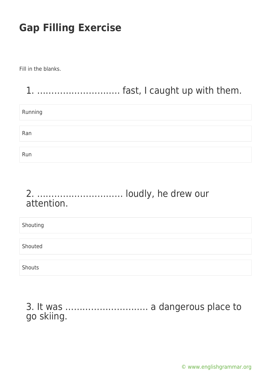Fill in the blanks.

# 1. ……………………….. fast, I caught up with them. Running Ran Run

#### 2. ………………………… loudly, he drew our attention.

Shouting Shouted Shouts

3. It was ……………………….. a dangerous place to go skiing.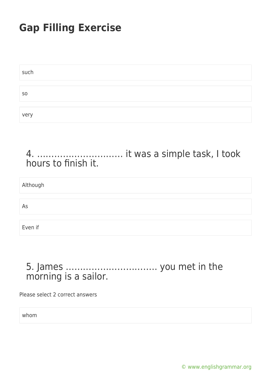| such           |  |
|----------------|--|
|                |  |
| S <sub>O</sub> |  |
|                |  |
| very           |  |

4. ………………………… it was a simple task, I took hours to finish it.

Although As Even if

#### 5. James ………………………….. you met in the morning is a sailor.

Please select 2 correct answers

whom

[© www.englishgrammar.org](https://www.englishgrammar.org/)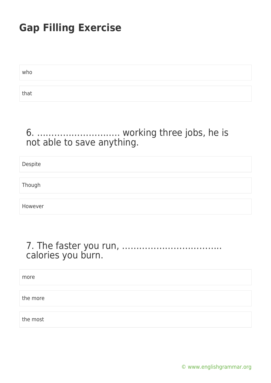who that

#### 6. ……………………….. working three jobs, he is not able to save anything.

Despite

Though

However

#### 7. The faster you run, …………………………….. calories you burn.

more

the more

the most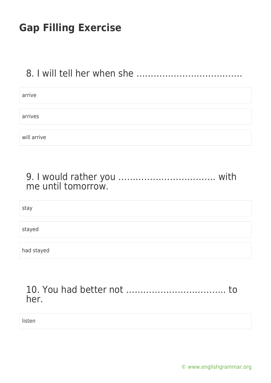### 8. I will tell her when she ……………………………………

| arrive      |  |  |  |
|-------------|--|--|--|
|             |  |  |  |
| arrives     |  |  |  |
|             |  |  |  |
| will arrive |  |  |  |

| me until tomorrow. |  |
|--------------------|--|

stay

stayed

had stayed

| her. |  |
|------|--|

listen

[© www.englishgrammar.org](https://www.englishgrammar.org/)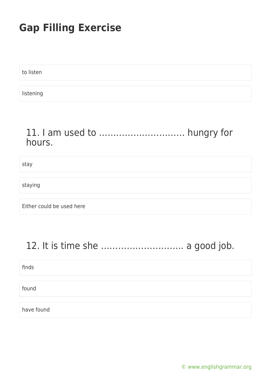to listen

listening

#### 11. I am used to ………………………… hungry for hours.

stay

staying

Either could be used here

### 12. It is time she ……………………….. a good job.

finds

found

have found